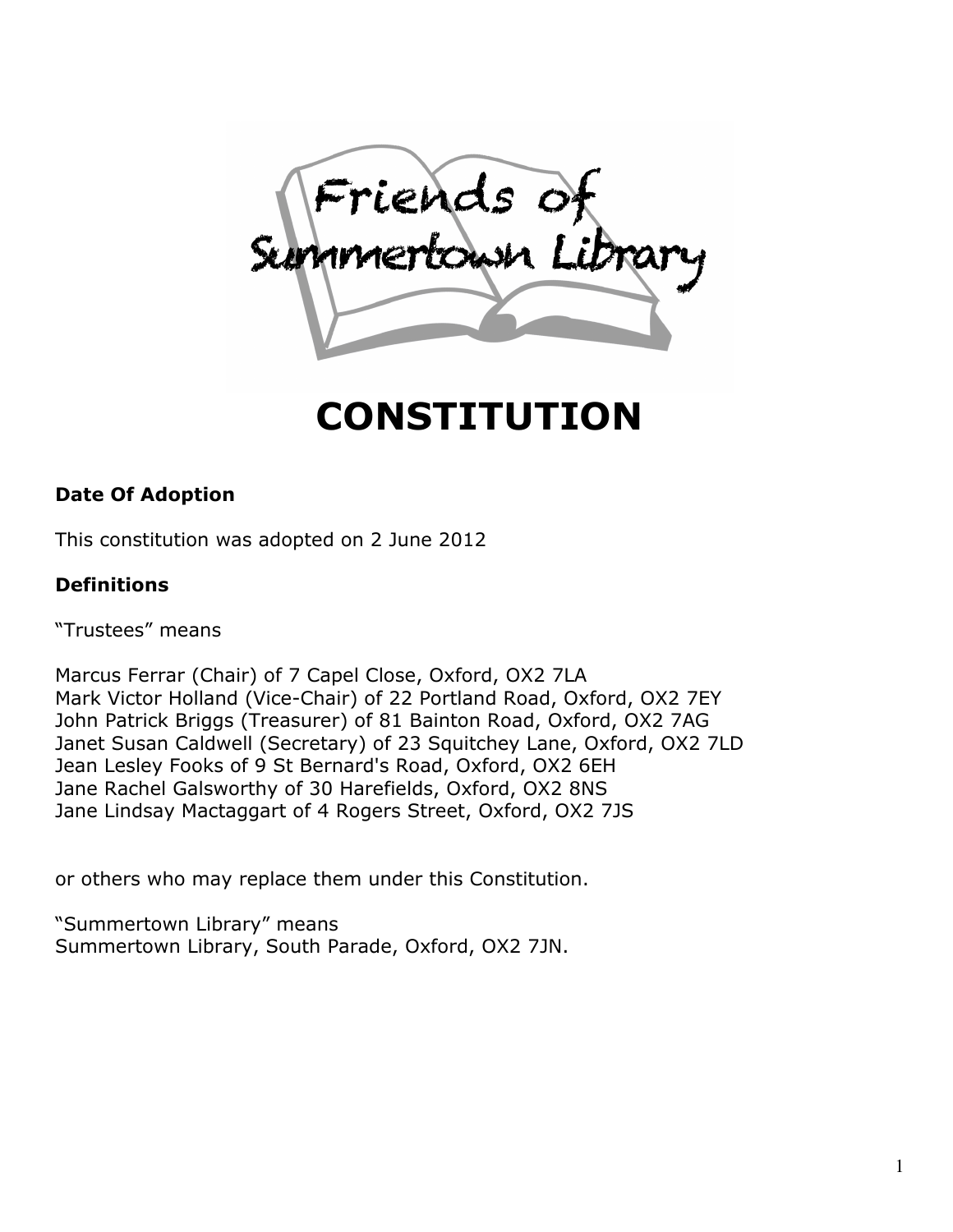Friends of

# CONSTITUTION

# Date Of Adoption

This constitution was adopted on 2 June 2012

# Definitions

"Trustees" means

Marcus Ferrar (Chair) of 7 Capel Close, Oxford, OX2 7LA Mark Victor Holland (Vice-Chair) of 22 Portland Road, Oxford, OX2 7EY John Patrick Briggs (Treasurer) of 81 Bainton Road, Oxford, OX2 7AG Janet Susan Caldwell (Secretary) of 23 Squitchey Lane, Oxford, OX2 7LD Jean Lesley Fooks of 9 St Bernard's Road, Oxford, OX2 6EH Jane Rachel Galsworthy of 30 Harefields, Oxford, OX2 8NS Jane Lindsay Mactaggart of 4 Rogers Street, Oxford, OX2 7JS

or others who may replace them under this Constitution.

"Summertown Library" means Summertown Library, South Parade, Oxford, OX2 7JN.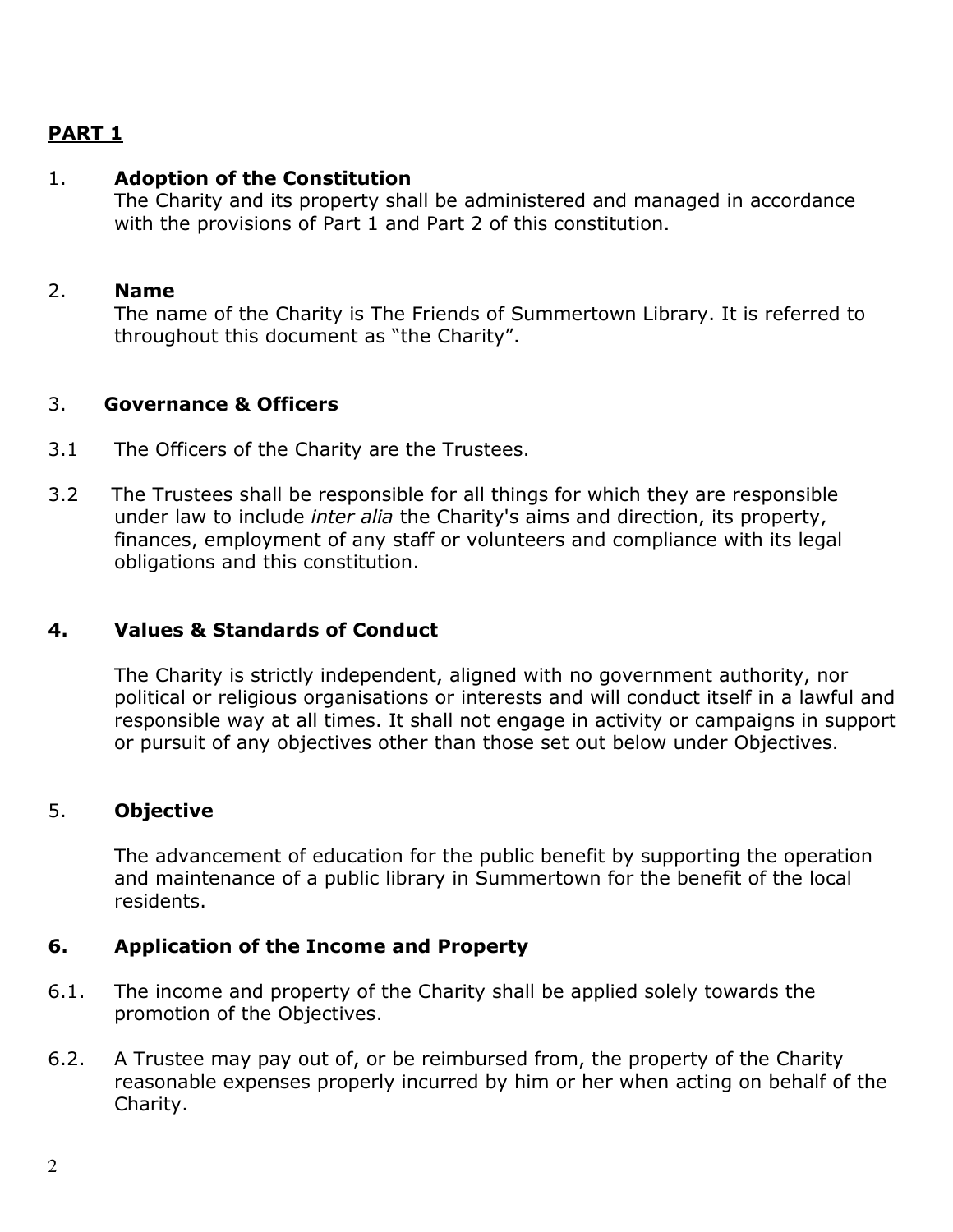## PART 1

#### 1. Adoption of the Constitution

The Charity and its property shall be administered and managed in accordance with the provisions of Part 1 and Part 2 of this constitution.

#### 2. Name

The name of the Charity is The Friends of Summertown Library. It is referred to throughout this document as "the Charity".

## 3. Governance & Officers

- 3.1 The Officers of the Charity are the Trustees.
- 3.2 The Trustees shall be responsible for all things for which they are responsible under law to include inter alia the Charity's aims and direction, its property, finances, employment of any staff or volunteers and compliance with its legal obligations and this constitution.

## 4. Values & Standards of Conduct

The Charity is strictly independent, aligned with no government authority, nor political or religious organisations or interests and will conduct itself in a lawful and responsible way at all times. It shall not engage in activity or campaigns in support or pursuit of any objectives other than those set out below under Objectives.

#### 5. Objective

The advancement of education for the public benefit by supporting the operation and maintenance of a public library in Summertown for the benefit of the local residents.

## 6. Application of the Income and Property

- 6.1. The income and property of the Charity shall be applied solely towards the promotion of the Objectives.
- 6.2. A Trustee may pay out of, or be reimbursed from, the property of the Charity reasonable expenses properly incurred by him or her when acting on behalf of the Charity.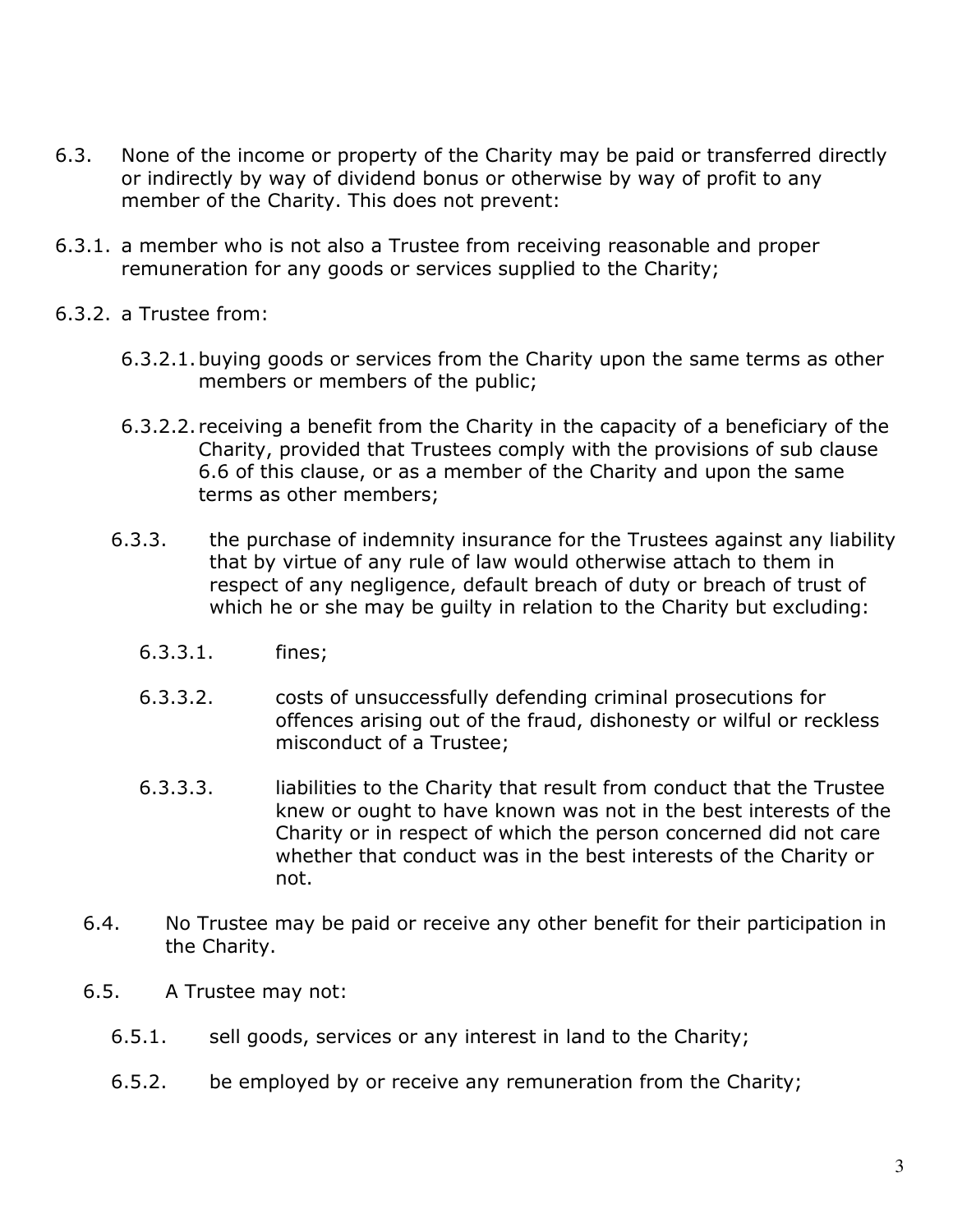- 6.3. None of the income or property of the Charity may be paid or transferred directly or indirectly by way of dividend bonus or otherwise by way of profit to any member of the Charity. This does not prevent:
- 6.3.1. a member who is not also a Trustee from receiving reasonable and proper remuneration for any goods or services supplied to the Charity;
- 6.3.2. a Trustee from:
	- 6.3.2.1.buying goods or services from the Charity upon the same terms as other members or members of the public;
	- 6.3.2.2. receiving a benefit from the Charity in the capacity of a beneficiary of the Charity, provided that Trustees comply with the provisions of sub clause 6.6 of this clause, or as a member of the Charity and upon the same terms as other members;
	- 6.3.3. the purchase of indemnity insurance for the Trustees against any liability that by virtue of any rule of law would otherwise attach to them in respect of any negligence, default breach of duty or breach of trust of which he or she may be guilty in relation to the Charity but excluding:
		- 6.3.3.1. fines;
		- 6.3.3.2. costs of unsuccessfully defending criminal prosecutions for offences arising out of the fraud, dishonesty or wilful or reckless misconduct of a Trustee;
		- 6.3.3.3. liabilities to the Charity that result from conduct that the Trustee knew or ought to have known was not in the best interests of the Charity or in respect of which the person concerned did not care whether that conduct was in the best interests of the Charity or not.
	- 6.4. No Trustee may be paid or receive any other benefit for their participation in the Charity.
	- 6.5. A Trustee may not:
		- 6.5.1. sell goods, services or any interest in land to the Charity;
		- 6.5.2. be employed by or receive any remuneration from the Charity;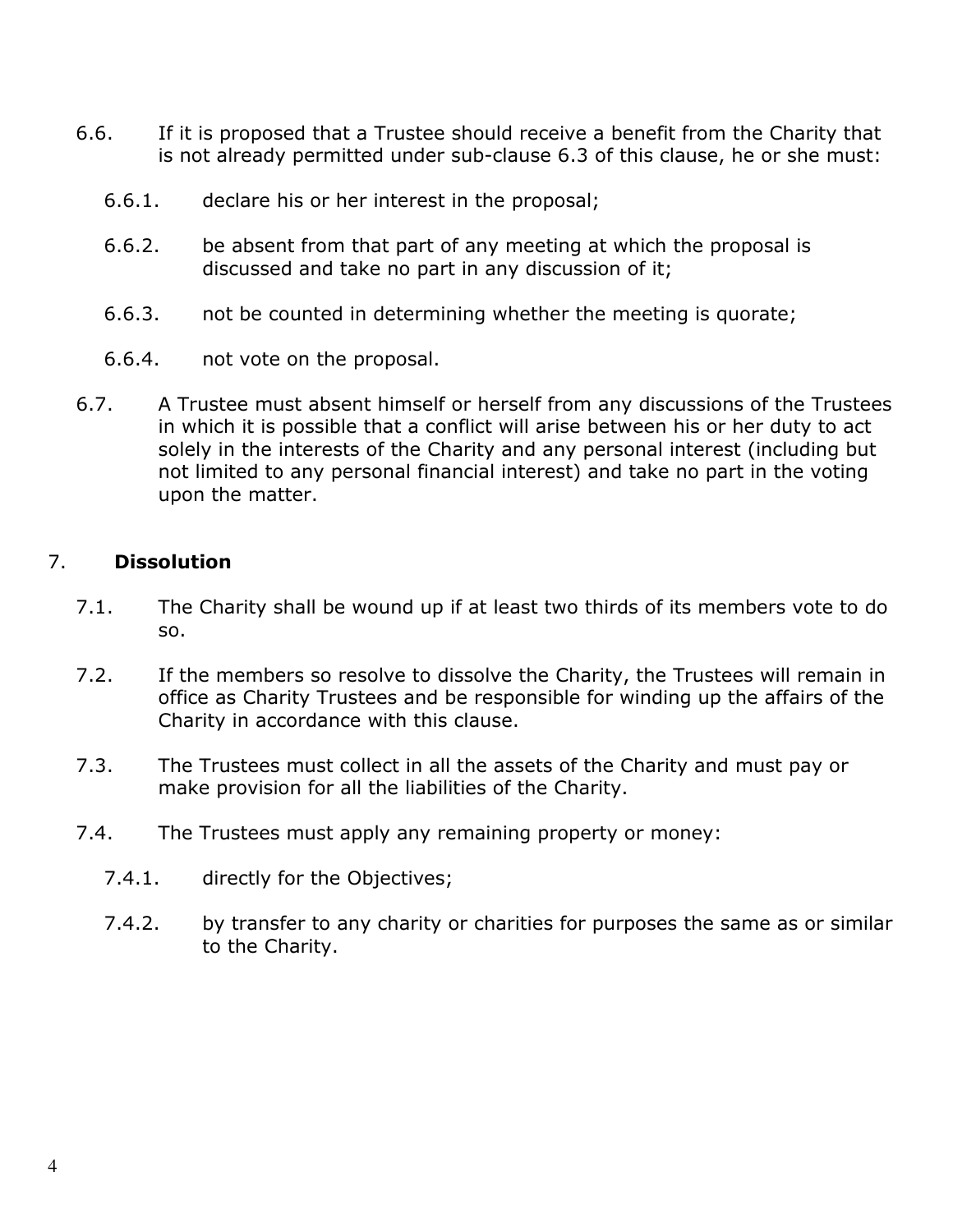- 6.6. If it is proposed that a Trustee should receive a benefit from the Charity that is not already permitted under sub-clause 6.3 of this clause, he or she must:
	- 6.6.1. declare his or her interest in the proposal;
	- 6.6.2. be absent from that part of any meeting at which the proposal is discussed and take no part in any discussion of it;
	- 6.6.3. not be counted in determining whether the meeting is quorate;
	- 6.6.4. not vote on the proposal.
- 6.7. A Trustee must absent himself or herself from any discussions of the Trustees in which it is possible that a conflict will arise between his or her duty to act solely in the interests of the Charity and any personal interest (including but not limited to any personal financial interest) and take no part in the voting upon the matter.

## 7. Dissolution

- 7.1. The Charity shall be wound up if at least two thirds of its members vote to do so.
- 7.2. If the members so resolve to dissolve the Charity, the Trustees will remain in office as Charity Trustees and be responsible for winding up the affairs of the Charity in accordance with this clause.
- 7.3. The Trustees must collect in all the assets of the Charity and must pay or make provision for all the liabilities of the Charity.
- 7.4. The Trustees must apply any remaining property or money:
	- 7.4.1. directly for the Objectives;
	- 7.4.2. by transfer to any charity or charities for purposes the same as or similar to the Charity.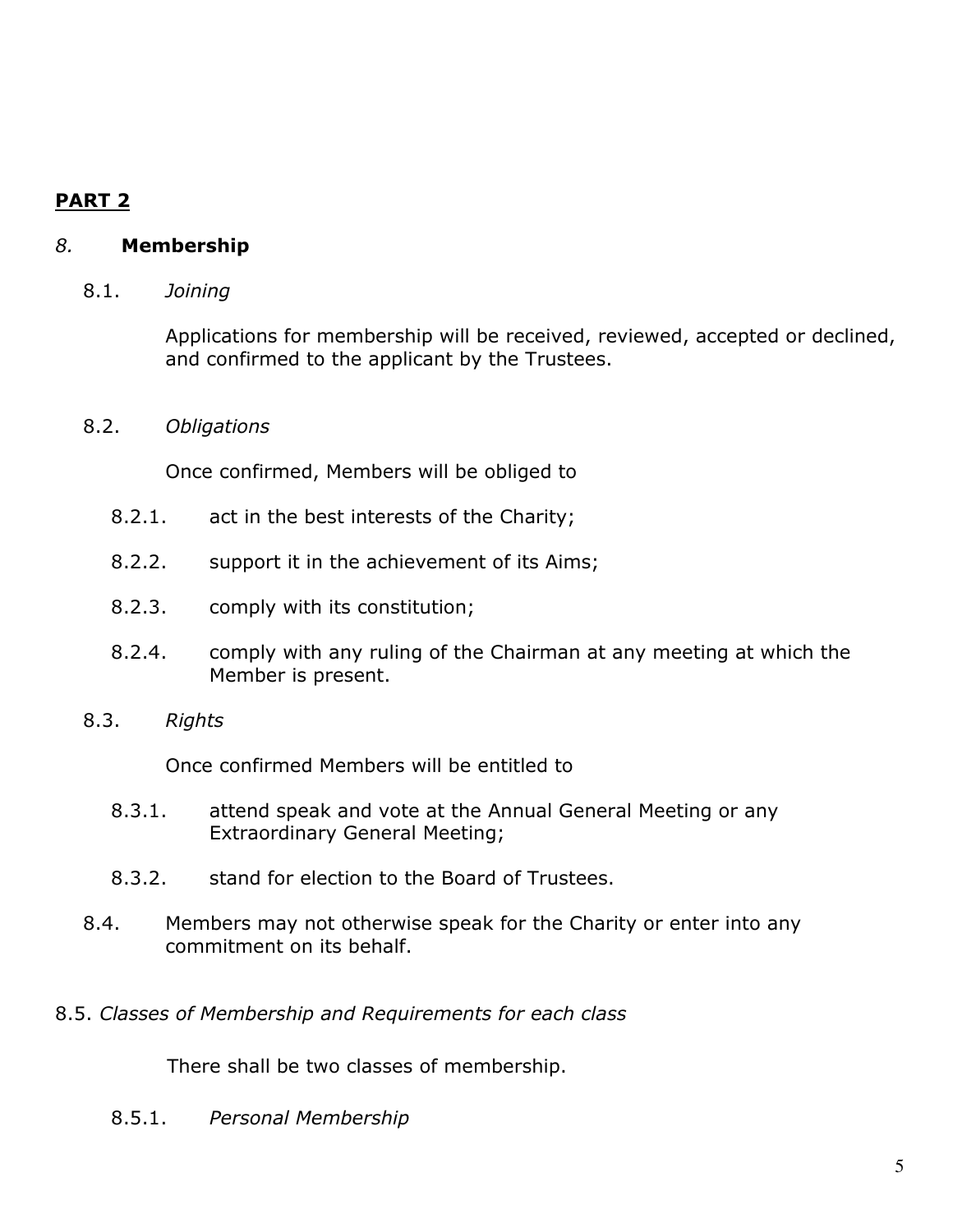# PART 2

## 8. Membership

#### 8.1. Joining

Applications for membership will be received, reviewed, accepted or declined, and confirmed to the applicant by the Trustees.

#### 8.2. Obligations

Once confirmed, Members will be obliged to

- 8.2.1. act in the best interests of the Charity;
- 8.2.2. support it in the achievement of its Aims;
- 8.2.3. comply with its constitution;
- 8.2.4. comply with any ruling of the Chairman at any meeting at which the Member is present.
- 8.3. Rights

Once confirmed Members will be entitled to

- 8.3.1. attend speak and vote at the Annual General Meeting or any Extraordinary General Meeting;
- 8.3.2. stand for election to the Board of Trustees.
- 8.4. Members may not otherwise speak for the Charity or enter into any commitment on its behalf.
- 8.5. Classes of Membership and Requirements for each class

There shall be two classes of membership.

8.5.1. Personal Membership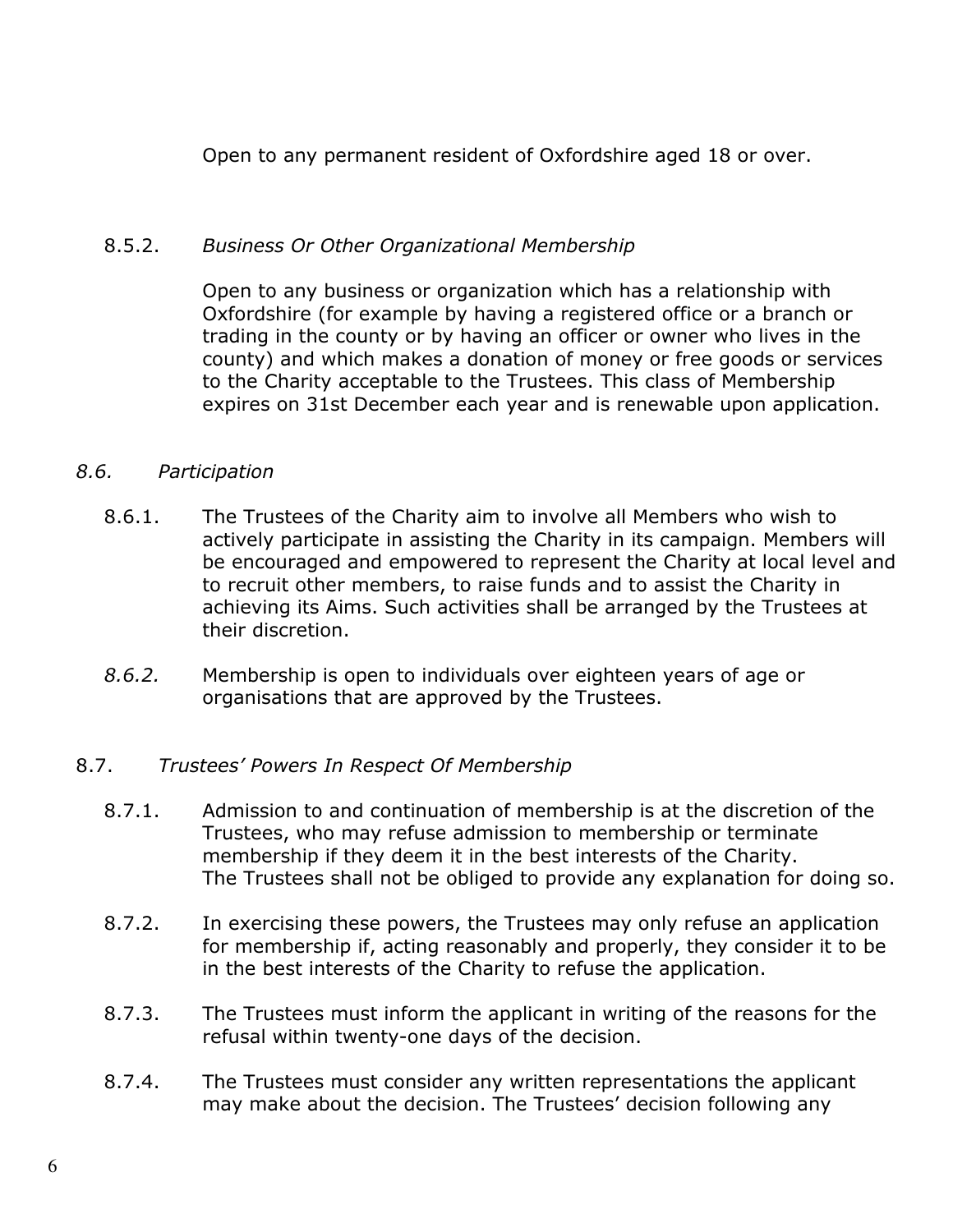Open to any permanent resident of Oxfordshire aged 18 or over.

#### 8.5.2. Business Or Other Organizational Membership

Open to any business or organization which has a relationship with Oxfordshire (for example by having a registered office or a branch or trading in the county or by having an officer or owner who lives in the county) and which makes a donation of money or free goods or services to the Charity acceptable to the Trustees. This class of Membership expires on 31st December each year and is renewable upon application.

#### 8.6. Participation

- 8.6.1. The Trustees of the Charity aim to involve all Members who wish to actively participate in assisting the Charity in its campaign. Members will be encouraged and empowered to represent the Charity at local level and to recruit other members, to raise funds and to assist the Charity in achieving its Aims. Such activities shall be arranged by the Trustees at their discretion.
- 8.6.2. Membership is open to individuals over eighteen years of age or organisations that are approved by the Trustees.

#### 8.7. Trustees' Powers In Respect Of Membership

- 8.7.1. Admission to and continuation of membership is at the discretion of the Trustees, who may refuse admission to membership or terminate membership if they deem it in the best interests of the Charity. The Trustees shall not be obliged to provide any explanation for doing so.
- 8.7.2. In exercising these powers, the Trustees may only refuse an application for membership if, acting reasonably and properly, they consider it to be in the best interests of the Charity to refuse the application.
- 8.7.3. The Trustees must inform the applicant in writing of the reasons for the refusal within twenty-one days of the decision.
- 8.7.4. The Trustees must consider any written representations the applicant may make about the decision. The Trustees' decision following any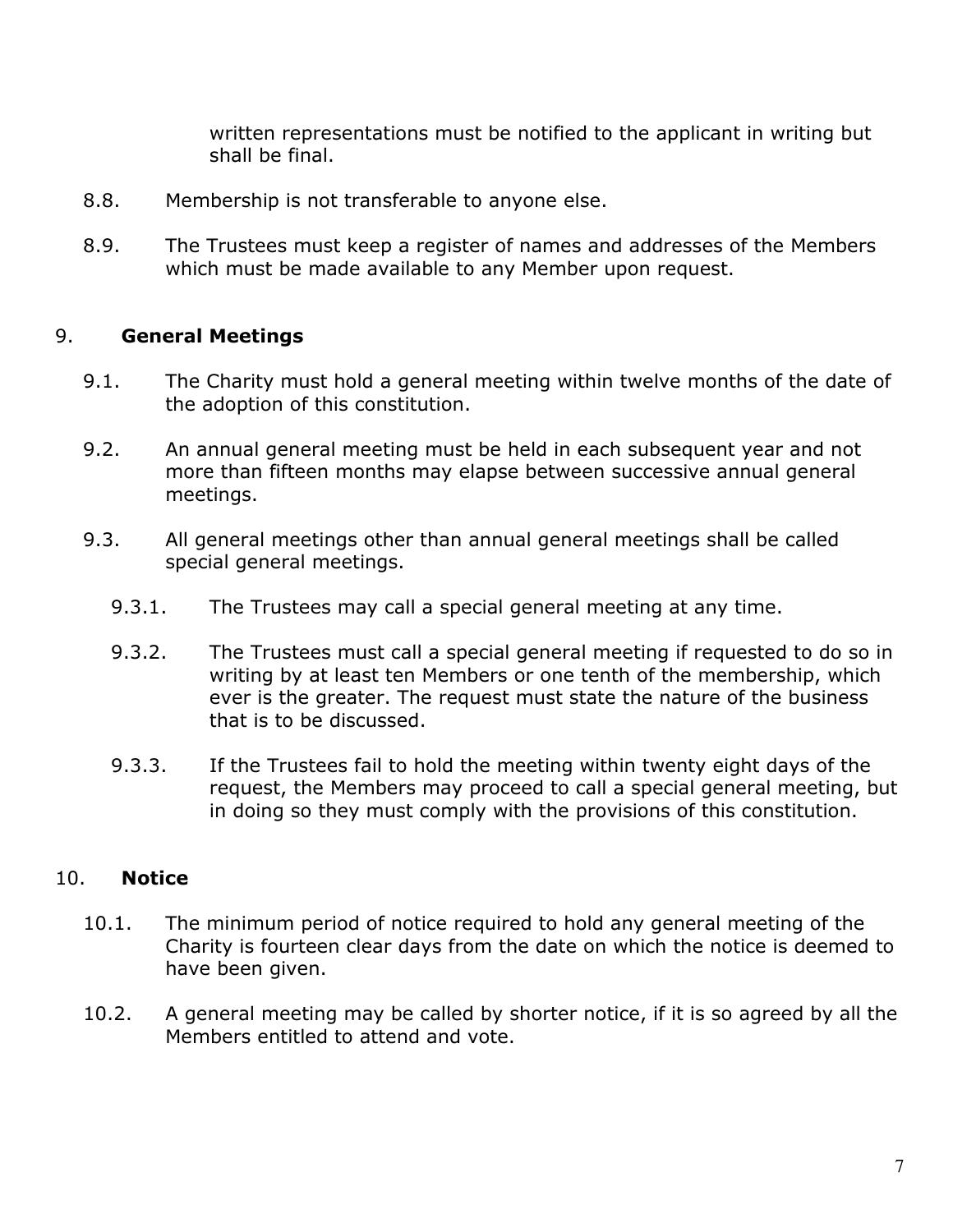written representations must be notified to the applicant in writing but shall be final.

- 8.8. Membership is not transferable to anyone else.
- 8.9. The Trustees must keep a register of names and addresses of the Members which must be made available to any Member upon request.

## 9. General Meetings

- 9.1. The Charity must hold a general meeting within twelve months of the date of the adoption of this constitution.
- 9.2. An annual general meeting must be held in each subsequent year and not more than fifteen months may elapse between successive annual general meetings.
- 9.3. All general meetings other than annual general meetings shall be called special general meetings.
	- 9.3.1. The Trustees may call a special general meeting at any time.
	- 9.3.2. The Trustees must call a special general meeting if requested to do so in writing by at least ten Members or one tenth of the membership, which ever is the greater. The request must state the nature of the business that is to be discussed.
	- 9.3.3. If the Trustees fail to hold the meeting within twenty eight days of the request, the Members may proceed to call a special general meeting, but in doing so they must comply with the provisions of this constitution.

## 10. Notice

- 10.1. The minimum period of notice required to hold any general meeting of the Charity is fourteen clear days from the date on which the notice is deemed to have been given.
- 10.2. A general meeting may be called by shorter notice, if it is so agreed by all the Members entitled to attend and vote.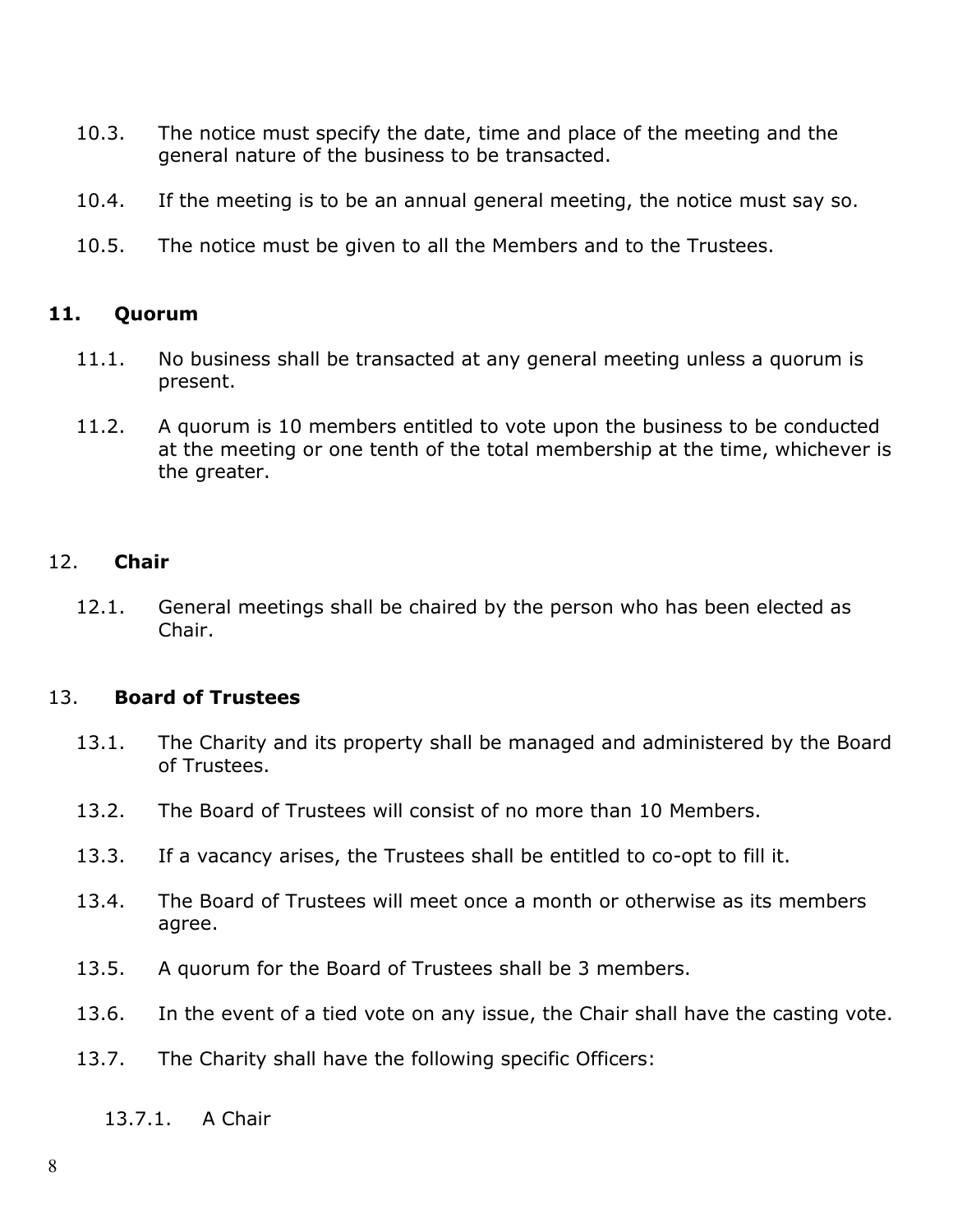- 10.3. The notice must specify the date, time and place of the meeting and the general nature of the business to be transacted.
- 10.4. If the meeting is to be an annual general meeting, the notice must say so.
- 10.5. The notice must be given to all the Members and to the Trustees.

#### 11. Quorum

- 11.1. No business shall be transacted at any general meeting unless a quorum is present.
- 11.2. A quorum is 10 members entitled to vote upon the business to be conducted at the meeting or one tenth of the total membership at the time, whichever is the greater.

#### 12. Chair

12.1. General meetings shall be chaired by the person who has been elected as Chair.

#### 13. Board of Trustees

- 13.1. The Charity and its property shall be managed and administered by the Board of Trustees.
- 13.2. The Board of Trustees will consist of no more than 10 Members.
- 13.3. If a vacancy arises, the Trustees shall be entitled to co-opt to fill it.
- 13.4. The Board of Trustees will meet once a month or otherwise as its members agree.
- 13.5. A quorum for the Board of Trustees shall be 3 members.
- 13.6. In the event of a tied vote on any issue, the Chair shall have the casting vote.
- 13.7. The Charity shall have the following specific Officers:
	- 13.7.1. A Chair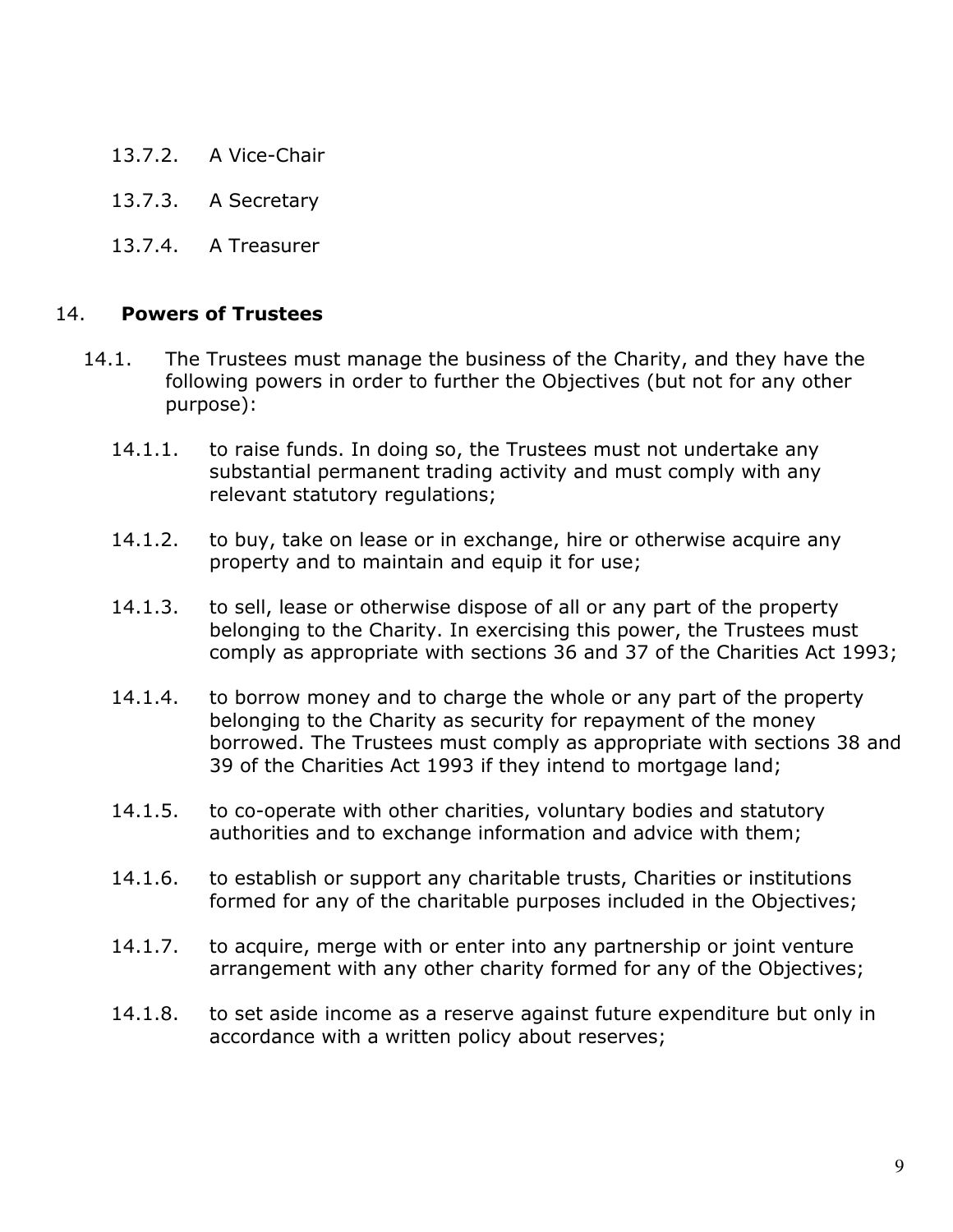- 13.7.2. A Vice-Chair
- 13.7.3. A Secretary
- 13.7.4. A Treasurer

#### 14. Powers of Trustees

- 14.1. The Trustees must manage the business of the Charity, and they have the following powers in order to further the Objectives (but not for any other purpose):
	- 14.1.1. to raise funds. In doing so, the Trustees must not undertake any substantial permanent trading activity and must comply with any relevant statutory regulations;
	- 14.1.2. to buy, take on lease or in exchange, hire or otherwise acquire any property and to maintain and equip it for use;
	- 14.1.3. to sell, lease or otherwise dispose of all or any part of the property belonging to the Charity. In exercising this power, the Trustees must comply as appropriate with sections 36 and 37 of the Charities Act 1993;
	- 14.1.4. to borrow money and to charge the whole or any part of the property belonging to the Charity as security for repayment of the money borrowed. The Trustees must comply as appropriate with sections 38 and 39 of the Charities Act 1993 if they intend to mortgage land;
	- 14.1.5. to co-operate with other charities, voluntary bodies and statutory authorities and to exchange information and advice with them;
	- 14.1.6. to establish or support any charitable trusts, Charities or institutions formed for any of the charitable purposes included in the Objectives;
	- 14.1.7. to acquire, merge with or enter into any partnership or joint venture arrangement with any other charity formed for any of the Objectives;
	- 14.1.8. to set aside income as a reserve against future expenditure but only in accordance with a written policy about reserves;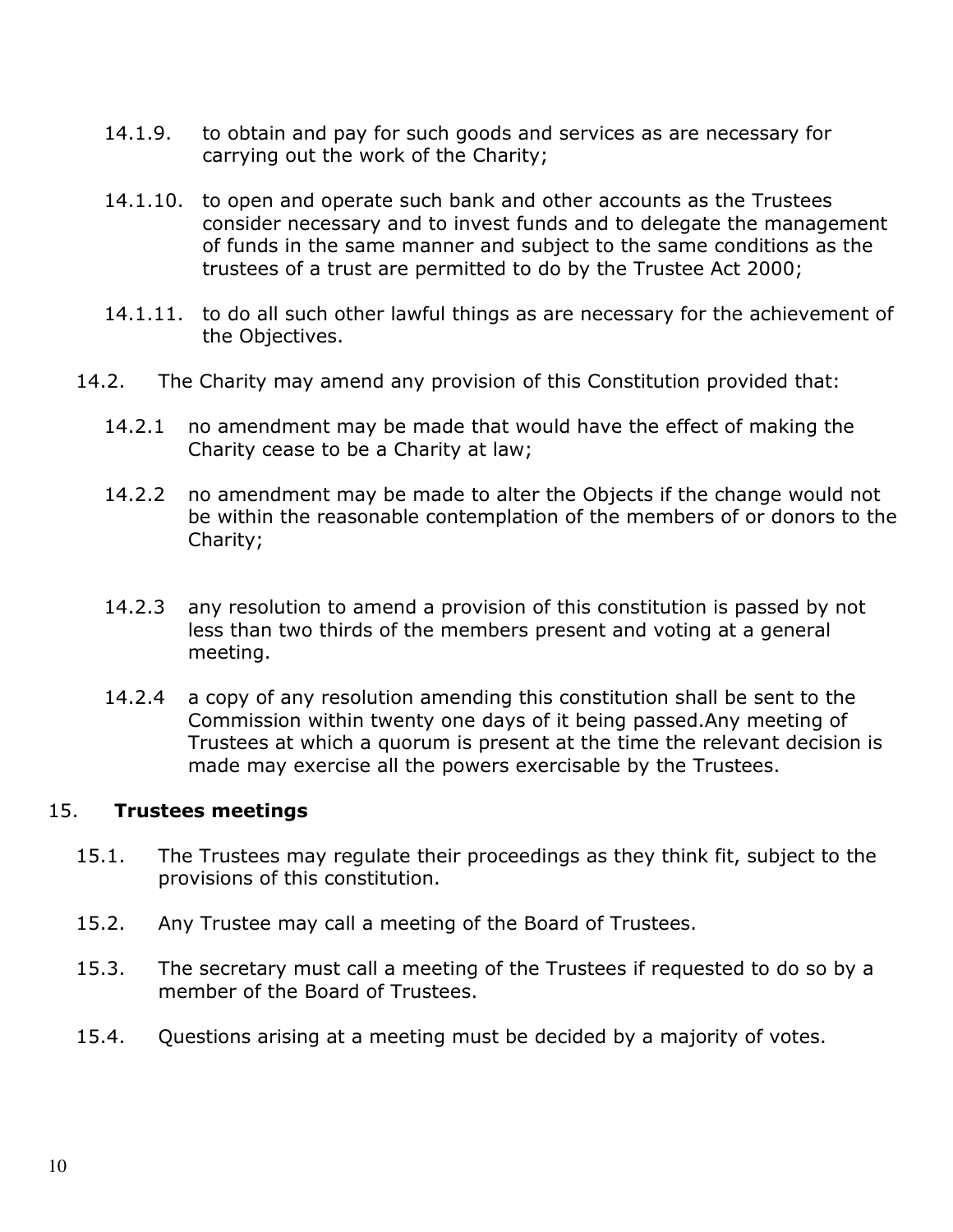- 14.1.9. to obtain and pay for such goods and services as are necessary for carrying out the work of the Charity;
- 14.1.10. to open and operate such bank and other accounts as the Trustees consider necessary and to invest funds and to delegate the management of funds in the same manner and subject to the same conditions as the trustees of a trust are permitted to do by the Trustee Act 2000;
- 14.1.11. to do all such other lawful things as are necessary for the achievement of the Objectives.
- 14.2. The Charity may amend any provision of this Constitution provided that:
	- 14.2.1 no amendment may be made that would have the effect of making the Charity cease to be a Charity at law;
	- 14.2.2 no amendment may be made to alter the Objects if the change would not be within the reasonable contemplation of the members of or donors to the Charity;
	- 14.2.3 any resolution to amend a provision of this constitution is passed by not less than two thirds of the members present and voting at a general meeting.
	- 14.2.4 a copy of any resolution amending this constitution shall be sent to the Commission within twenty one days of it being passed.Any meeting of Trustees at which a quorum is present at the time the relevant decision is made may exercise all the powers exercisable by the Trustees.

#### 15. Trustees meetings

- 15.1. The Trustees may regulate their proceedings as they think fit, subject to the provisions of this constitution.
- 15.2. Any Trustee may call a meeting of the Board of Trustees.
- 15.3. The secretary must call a meeting of the Trustees if requested to do so by a member of the Board of Trustees.
- 15.4. Questions arising at a meeting must be decided by a majority of votes.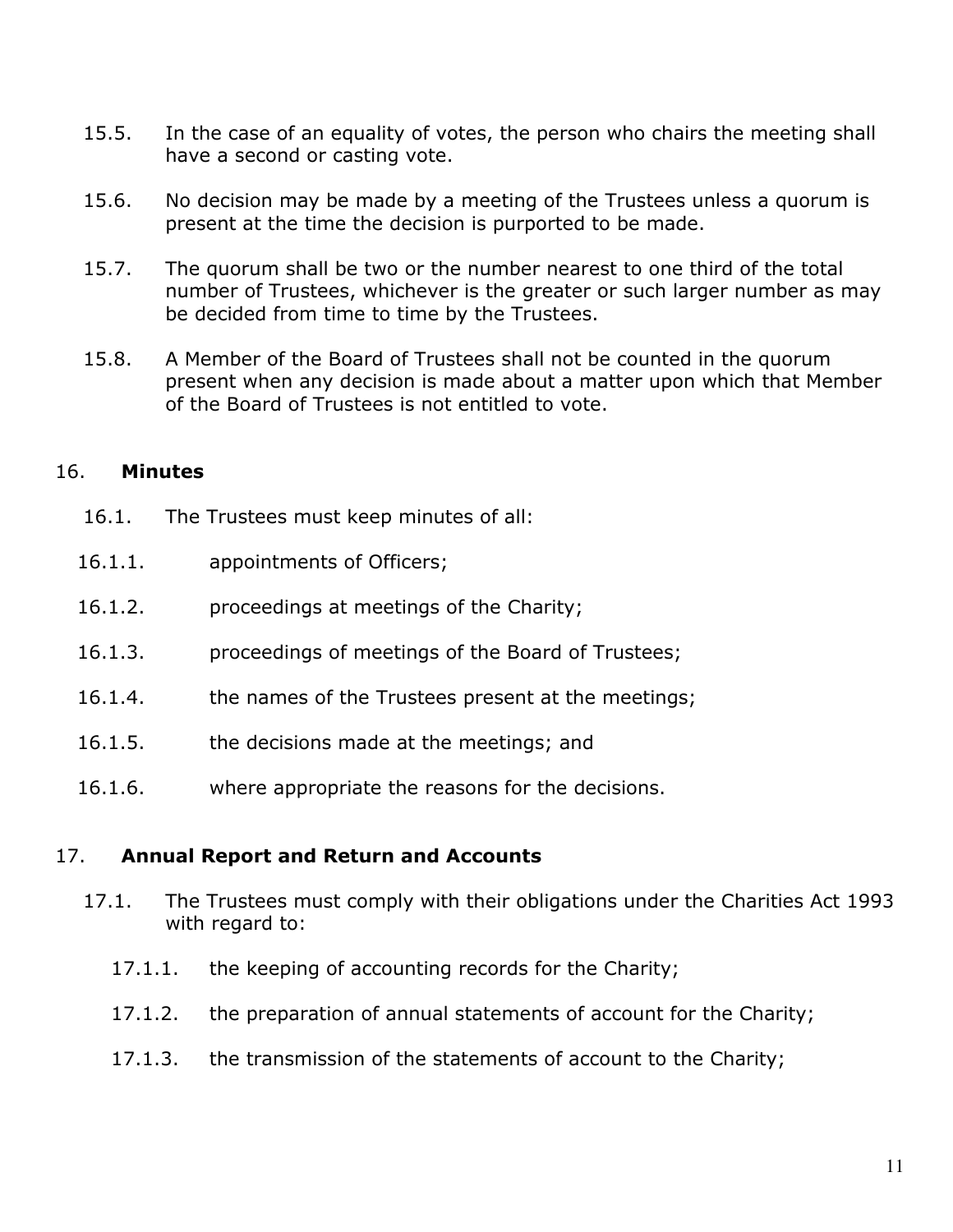- 15.5. In the case of an equality of votes, the person who chairs the meeting shall have a second or casting vote.
- 15.6. No decision may be made by a meeting of the Trustees unless a quorum is present at the time the decision is purported to be made.
- 15.7. The quorum shall be two or the number nearest to one third of the total number of Trustees, whichever is the greater or such larger number as may be decided from time to time by the Trustees.
- 15.8. A Member of the Board of Trustees shall not be counted in the quorum present when any decision is made about a matter upon which that Member of the Board of Trustees is not entitled to vote.

## 16. Minutes

- 16.1. The Trustees must keep minutes of all:
- 16.1.1. appointments of Officers;
- 16.1.2. proceedings at meetings of the Charity;
- 16.1.3. proceedings of meetings of the Board of Trustees;
- 16.1.4. the names of the Trustees present at the meetings;
- 16.1.5. the decisions made at the meetings; and
- 16.1.6. where appropriate the reasons for the decisions.

#### 17. Annual Report and Return and Accounts

- 17.1. The Trustees must comply with their obligations under the Charities Act 1993 with regard to:
	- 17.1.1. the keeping of accounting records for the Charity;
	- 17.1.2. the preparation of annual statements of account for the Charity;
	- 17.1.3. the transmission of the statements of account to the Charity;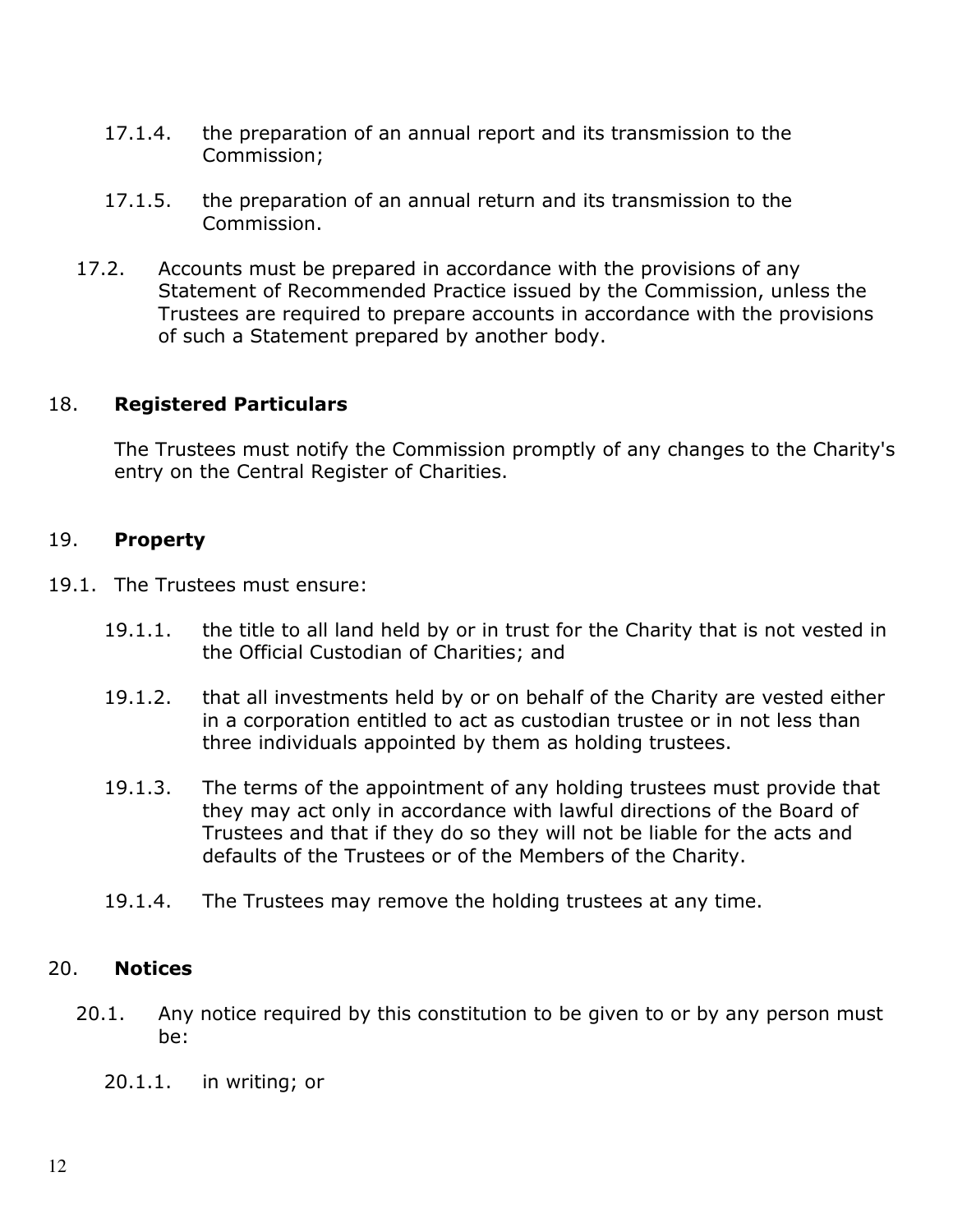- 17.1.4. the preparation of an annual report and its transmission to the Commission;
- 17.1.5. the preparation of an annual return and its transmission to the Commission.
- 17.2. Accounts must be prepared in accordance with the provisions of any Statement of Recommended Practice issued by the Commission, unless the Trustees are required to prepare accounts in accordance with the provisions of such a Statement prepared by another body.

## 18. Registered Particulars

 The Trustees must notify the Commission promptly of any changes to the Charity's entry on the Central Register of Charities.

#### 19. Property

- 19.1. The Trustees must ensure:
	- 19.1.1. the title to all land held by or in trust for the Charity that is not vested in the Official Custodian of Charities; and
	- 19.1.2. that all investments held by or on behalf of the Charity are vested either in a corporation entitled to act as custodian trustee or in not less than three individuals appointed by them as holding trustees.
	- 19.1.3. The terms of the appointment of any holding trustees must provide that they may act only in accordance with lawful directions of the Board of Trustees and that if they do so they will not be liable for the acts and defaults of the Trustees or of the Members of the Charity.
	- 19.1.4. The Trustees may remove the holding trustees at any time.

#### 20. Notices

- 20.1. Any notice required by this constitution to be given to or by any person must be:
	- 20.1.1. in writing; or